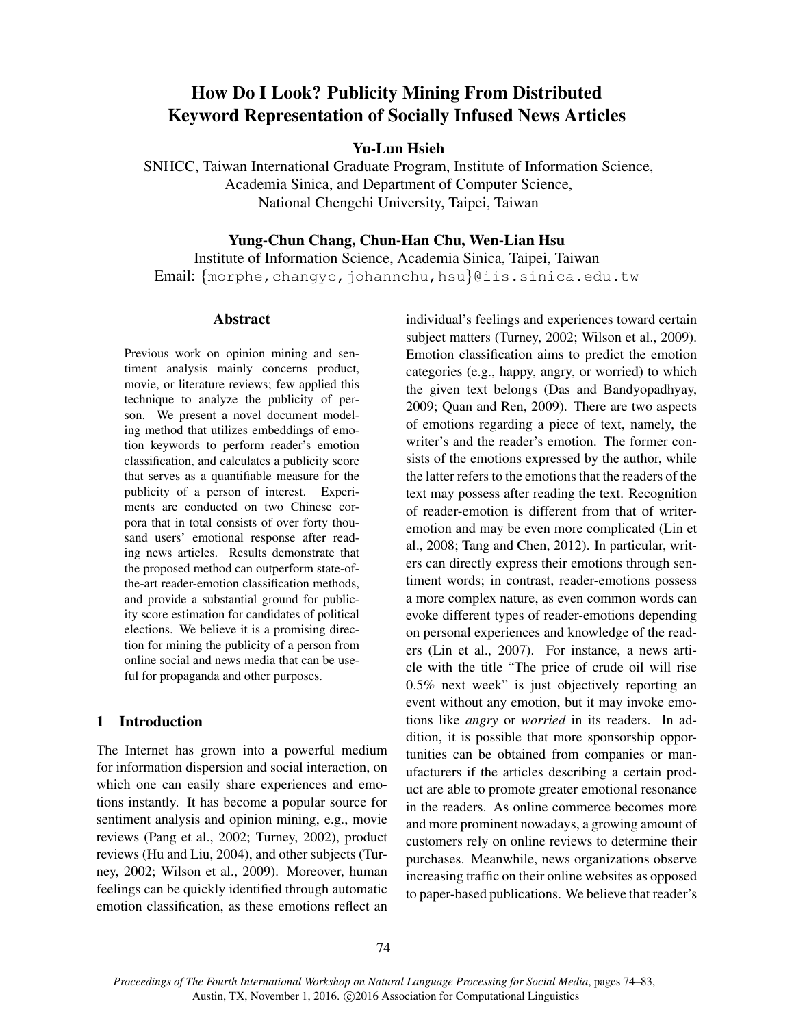# How Do I Look? Publicity Mining From Distributed Keyword Representation of Socially Infused News Articles

# Yu-Lun Hsieh

SNHCC, Taiwan International Graduate Program, Institute of Information Science, Academia Sinica, and Department of Computer Science, National Chengchi University, Taipei, Taiwan

# Yung-Chun Chang, Chun-Han Chu, Wen-Lian Hsu

Institute of Information Science, Academia Sinica, Taipei, Taiwan Email: {morphe, changyc, johannchu, hsu}@iis.sinica.edu.tw

#### **Abstract**

Previous work on opinion mining and sentiment analysis mainly concerns product, movie, or literature reviews; few applied this technique to analyze the publicity of person. We present a novel document modeling method that utilizes embeddings of emotion keywords to perform reader's emotion classification, and calculates a publicity score that serves as a quantifiable measure for the publicity of a person of interest. Experiments are conducted on two Chinese corpora that in total consists of over forty thousand users' emotional response after reading news articles. Results demonstrate that the proposed method can outperform state-ofthe-art reader-emotion classification methods, and provide a substantial ground for publicity score estimation for candidates of political elections. We believe it is a promising direction for mining the publicity of a person from online social and news media that can be useful for propaganda and other purposes.

# 1 Introduction

The Internet has grown into a powerful medium for information dispersion and social interaction, on which one can easily share experiences and emotions instantly. It has become a popular source for sentiment analysis and opinion mining, e.g., movie reviews (Pang et al., 2002; Turney, 2002), product reviews (Hu and Liu, 2004), and other subjects (Turney, 2002; Wilson et al., 2009). Moreover, human feelings can be quickly identified through automatic emotion classification, as these emotions reflect an individual's feelings and experiences toward certain subject matters (Turney, 2002; Wilson et al., 2009). Emotion classification aims to predict the emotion categories (e.g., happy, angry, or worried) to which the given text belongs (Das and Bandyopadhyay, 2009; Quan and Ren, 2009). There are two aspects of emotions regarding a piece of text, namely, the writer's and the reader's emotion. The former consists of the emotions expressed by the author, while the latter refers to the emotions that the readers of the text may possess after reading the text. Recognition of reader-emotion is different from that of writeremotion and may be even more complicated (Lin et al., 2008; Tang and Chen, 2012). In particular, writers can directly express their emotions through sentiment words; in contrast, reader-emotions possess a more complex nature, as even common words can evoke different types of reader-emotions depending on personal experiences and knowledge of the readers (Lin et al., 2007). For instance, a news article with the title "The price of crude oil will rise 0.5% next week" is just objectively reporting an event without any emotion, but it may invoke emotions like *angry* or *worried* in its readers. In addition, it is possible that more sponsorship opportunities can be obtained from companies or manufacturers if the articles describing a certain product are able to promote greater emotional resonance in the readers. As online commerce becomes more and more prominent nowadays, a growing amount of customers rely on online reviews to determine their purchases. Meanwhile, news organizations observe increasing traffic on their online websites as opposed to paper-based publications. We believe that reader's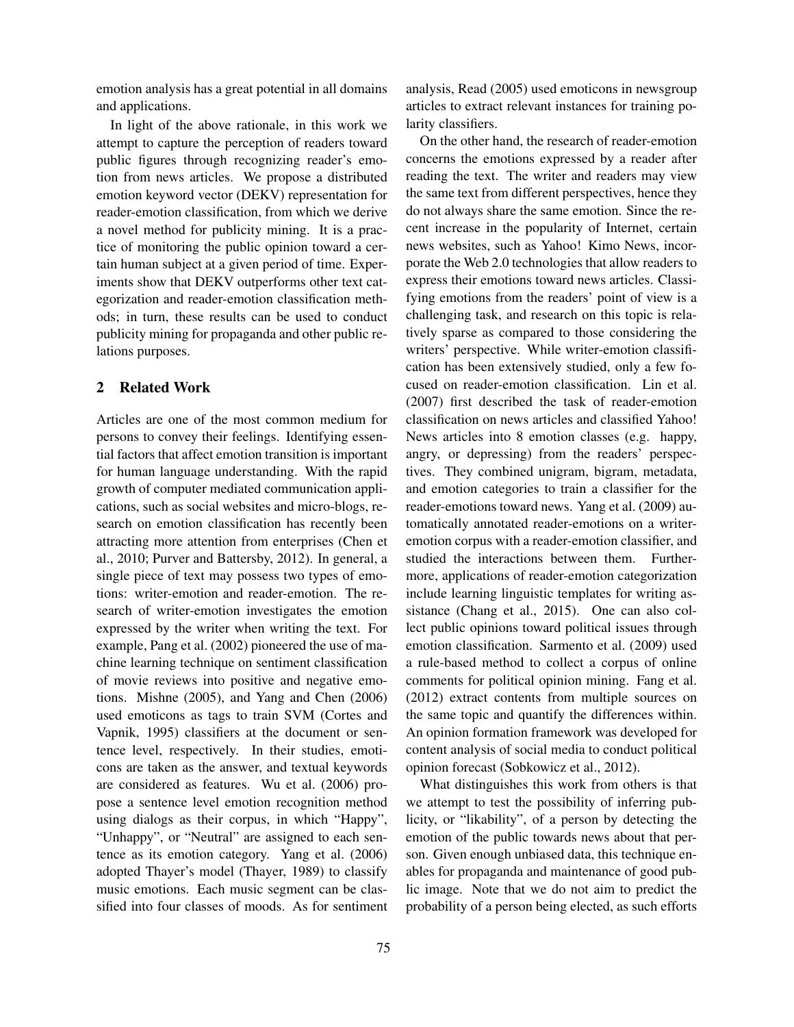emotion analysis has a great potential in all domains and applications.

In light of the above rationale, in this work we attempt to capture the perception of readers toward public figures through recognizing reader's emotion from news articles. We propose a distributed emotion keyword vector (DEKV) representation for reader-emotion classification, from which we derive a novel method for publicity mining. It is a practice of monitoring the public opinion toward a certain human subject at a given period of time. Experiments show that DEKV outperforms other text categorization and reader-emotion classification methods; in turn, these results can be used to conduct publicity mining for propaganda and other public relations purposes.

# 2 Related Work

Articles are one of the most common medium for persons to convey their feelings. Identifying essential factors that affect emotion transition is important for human language understanding. With the rapid growth of computer mediated communication applications, such as social websites and micro-blogs, research on emotion classification has recently been attracting more attention from enterprises (Chen et al., 2010; Purver and Battersby, 2012). In general, a single piece of text may possess two types of emotions: writer-emotion and reader-emotion. The research of writer-emotion investigates the emotion expressed by the writer when writing the text. For example, Pang et al. (2002) pioneered the use of machine learning technique on sentiment classification of movie reviews into positive and negative emotions. Mishne (2005), and Yang and Chen (2006) used emoticons as tags to train SVM (Cortes and Vapnik, 1995) classifiers at the document or sentence level, respectively. In their studies, emoticons are taken as the answer, and textual keywords are considered as features. Wu et al. (2006) propose a sentence level emotion recognition method using dialogs as their corpus, in which "Happy", "Unhappy", or "Neutral" are assigned to each sentence as its emotion category. Yang et al. (2006) adopted Thayer's model (Thayer, 1989) to classify music emotions. Each music segment can be classified into four classes of moods. As for sentiment analysis, Read (2005) used emoticons in newsgroup articles to extract relevant instances for training polarity classifiers.

On the other hand, the research of reader-emotion concerns the emotions expressed by a reader after reading the text. The writer and readers may view the same text from different perspectives, hence they do not always share the same emotion. Since the recent increase in the popularity of Internet, certain news websites, such as Yahoo! Kimo News, incorporate the Web 2.0 technologies that allow readers to express their emotions toward news articles. Classifying emotions from the readers' point of view is a challenging task, and research on this topic is relatively sparse as compared to those considering the writers' perspective. While writer-emotion classification has been extensively studied, only a few focused on reader-emotion classification. Lin et al. (2007) first described the task of reader-emotion classification on news articles and classified Yahoo! News articles into 8 emotion classes (e.g. happy, angry, or depressing) from the readers' perspectives. They combined unigram, bigram, metadata, and emotion categories to train a classifier for the reader-emotions toward news. Yang et al. (2009) automatically annotated reader-emotions on a writeremotion corpus with a reader-emotion classifier, and studied the interactions between them. Furthermore, applications of reader-emotion categorization include learning linguistic templates for writing assistance (Chang et al., 2015). One can also collect public opinions toward political issues through emotion classification. Sarmento et al. (2009) used a rule-based method to collect a corpus of online comments for political opinion mining. Fang et al. (2012) extract contents from multiple sources on the same topic and quantify the differences within. An opinion formation framework was developed for content analysis of social media to conduct political opinion forecast (Sobkowicz et al., 2012).

What distinguishes this work from others is that we attempt to test the possibility of inferring publicity, or "likability", of a person by detecting the emotion of the public towards news about that person. Given enough unbiased data, this technique enables for propaganda and maintenance of good public image. Note that we do not aim to predict the probability of a person being elected, as such efforts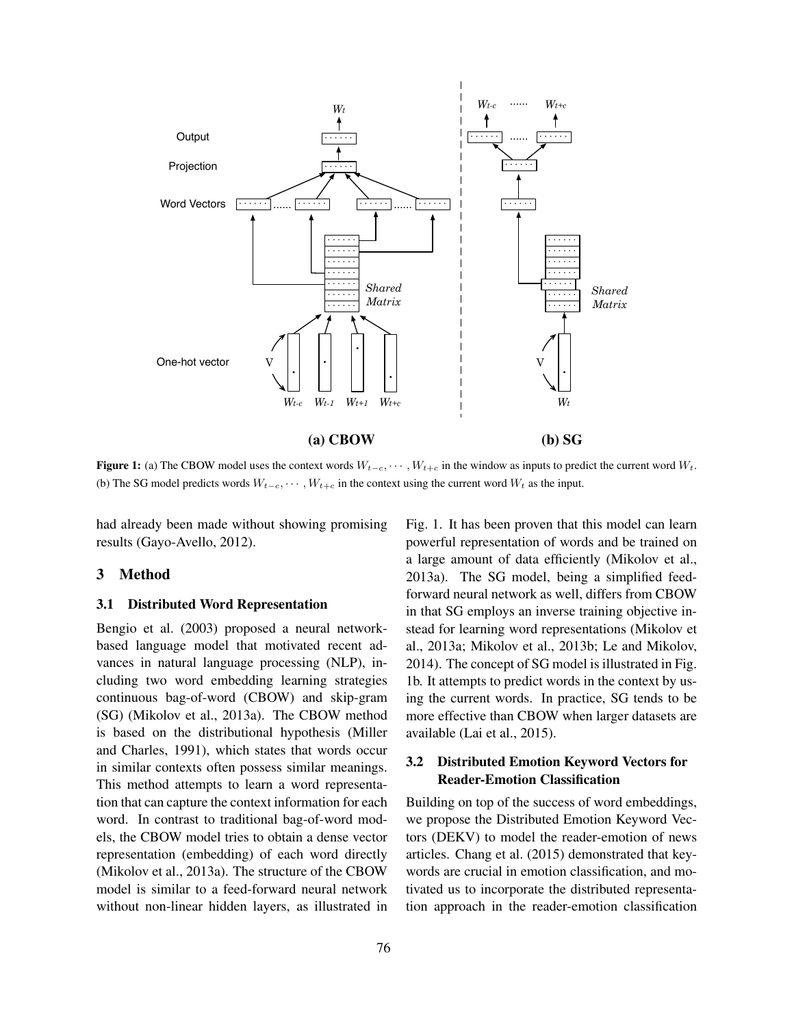

**Figure 1:** (a) The CBOW model uses the context words  $W_{t-c}$ ,  $\dots$ ,  $W_{t+c}$  in the window as inputs to predict the current word  $W_t$ . (b) The SG model predicts words  $W_{t-c}$ ,  $\cdots$ ,  $W_{t+c}$  in the context using the current word  $W_t$  as the input.

had already been made without showing promising results (Gayo-Avello, 2012).

#### 3 Method

#### 3.1 Distributed Word Representation

Bengio et al. (2003) proposed a neural networkbased language model that motivated recent advances in natural language processing (NLP), including two word embedding learning strategies continuous bag-of-word (CBOW) and skip-gram (SG) (Mikolov et al., 2013a). The CBOW method is based on the distributional hypothesis (Miller and Charles, 1991), which states that words occur in similar contexts often possess similar meanings. This method attempts to learn a word representation that can capture the context information for each word. In contrast to traditional bag-of-word models, the CBOW model tries to obtain a dense vector representation (embedding) of each word directly (Mikolov et al., 2013a). The structure of the CBOW model is similar to a feed-forward neural network without non-linear hidden layers, as illustrated in

Fig. 1. It has been proven that this model can learn powerful representation of words and be trained on a large amount of data efficiently (Mikolov et al., 2013a). The SG model, being a simplified feedforward neural network as well, differs from CBOW in that SG employs an inverse training objective instead for learning word representations (Mikolov et al., 2013a; Mikolov et al., 2013b; Le and Mikolov, 2014). The concept of SG model is illustrated in Fig. 1b. It attempts to predict words in the context by using the current words. In practice, SG tends to be more effective than CBOW when larger datasets are available (Lai et al., 2015).

# 3.2 Distributed Emotion Keyword Vectors for Reader-Emotion Classification

Building on top of the success of word embeddings, we propose the Distributed Emotion Keyword Vectors (DEKV) to model the reader-emotion of news articles. Chang et al. (2015) demonstrated that keywords are crucial in emotion classification, and motivated us to incorporate the distributed representation approach in the reader-emotion classification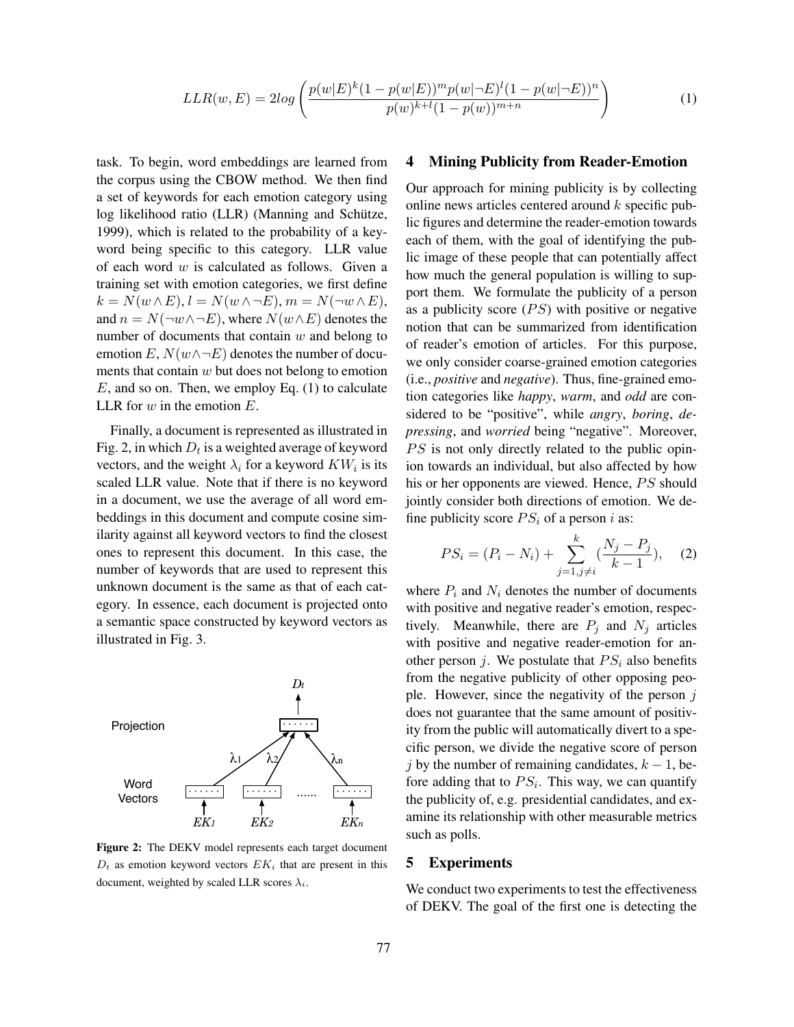$$
LLR(w,E) = 2log\left(\frac{p(w|E)^k(1-p(w|E))^m p(w|\neg E)^l (1-p(w|\neg E))^n}{p(w)^{k+l}(1-p(w))^{m+n}}\right)
$$
(1)

task. To begin, word embeddings are learned from the corpus using the CBOW method. We then find a set of keywords for each emotion category using log likelihood ratio (LLR) (Manning and Schütze, 1999), which is related to the probability of a keyword being specific to this category. LLR value of each word  $w$  is calculated as follows. Given a training set with emotion categories, we first define  $k = N(w \wedge E), l = N(w \wedge \neg E), m = N(\neg w \wedge E),$ and  $n = N(\neg w \land \neg E)$ , where  $N(w \land E)$  denotes the number of documents that contain  $w$  and belong to emotion  $E, N(w \wedge \neg E)$  denotes the number of documents that contain  $w$  but does not belong to emotion  $E$ , and so on. Then, we employ Eq. (1) to calculate LLR for  $w$  in the emotion  $E$ .

Finally, a document is represented as illustrated in Fig. 2, in which  $D_t$  is a weighted average of keyword vectors, and the weight  $\lambda_i$  for a keyword  $KW_i$  is its scaled LLR value. Note that if there is no keyword in a document, we use the average of all word embeddings in this document and compute cosine similarity against all keyword vectors to find the closest ones to represent this document. In this case, the number of keywords that are used to represent this unknown document is the same as that of each category. In essence, each document is projected onto a semantic space constructed by keyword vectors as illustrated in Fig. 3.



Figure 2: The DEKV model represents each target document  $D_t$  as emotion keyword vectors  $EK_i$  that are present in this document, weighted by scaled LLR scores  $\lambda_i$ .

#### 4 Mining Publicity from Reader-Emotion

Our approach for mining publicity is by collecting online news articles centered around  $k$  specific public figures and determine the reader-emotion towards each of them, with the goal of identifying the public image of these people that can potentially affect how much the general population is willing to support them. We formulate the publicity of a person as a publicity score  $(PS)$  with positive or negative notion that can be summarized from identification of reader's emotion of articles. For this purpose, we only consider coarse-grained emotion categories (i.e., *positive* and *negative*). Thus, fine-grained emotion categories like *happy*, *warm*, and *odd* are considered to be "positive", while *angry*, *boring*, *depressing*, and *worried* being "negative". Moreover,  $PS$  is not only directly related to the public opinion towards an individual, but also affected by how his or her opponents are viewed. Hence, PS should jointly consider both directions of emotion. We define publicity score  $PS_i$  of a person i as:

$$
PS_i = (P_i - N_i) + \sum_{j=1, j \neq i}^{k} \left( \frac{N_j - P_j}{k - 1} \right), \quad (2)
$$

where  $P_i$  and  $N_i$  denotes the number of documents with positive and negative reader's emotion, respectively. Meanwhile, there are  $P_j$  and  $N_j$  articles with positive and negative reader-emotion for another person j. We postulate that  $PS_i$  also benefits from the negative publicity of other opposing people. However, since the negativity of the person  $j$ does not guarantee that the same amount of positivity from the public will automatically divert to a specific person, we divide the negative score of person j by the number of remaining candidates,  $k - 1$ , before adding that to  $PS_i$ . This way, we can quantify the publicity of, e.g. presidential candidates, and examine its relationship with other measurable metrics such as polls.

#### 5 Experiments

We conduct two experiments to test the effectiveness of DEKV. The goal of the first one is detecting the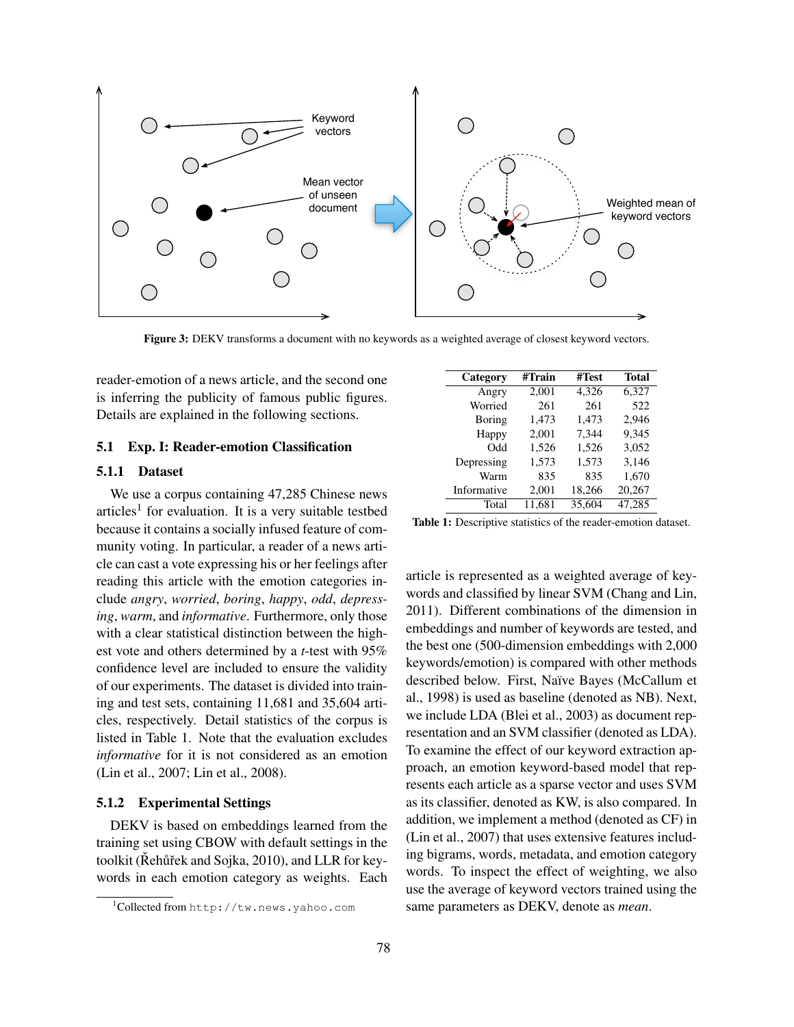

Figure 3: DEKV transforms a document with no keywords as a weighted average of closest keyword vectors.

reader-emotion of a news article, and the second one is inferring the publicity of famous public figures. Details are explained in the following sections.

#### 5.1 Exp. I: Reader-emotion Classification

#### 5.1.1 Dataset

We use a corpus containing 47,285 Chinese news articles<sup>1</sup> for evaluation. It is a very suitable testbed because it contains a socially infused feature of community voting. In particular, a reader of a news article can cast a vote expressing his or her feelings after reading this article with the emotion categories include *angry*, *worried*, *boring*, *happy*, *odd*, *depressing*, *warm*, and *informative*. Furthermore, only those with a clear statistical distinction between the highest vote and others determined by a *t*-test with 95% confidence level are included to ensure the validity of our experiments. The dataset is divided into training and test sets, containing 11,681 and 35,604 articles, respectively. Detail statistics of the corpus is listed in Table 1. Note that the evaluation excludes *informative* for it is not considered as an emotion (Lin et al., 2007; Lin et al., 2008).

### 5.1.2 Experimental Settings

DEKV is based on embeddings learned from the training set using CBOW with default settings in the toolkit (Rehůřek and Sojka, 2010), and LLR for keywords in each emotion category as weights. Each

| Category    | #Train | #Test  | <b>Total</b> |
|-------------|--------|--------|--------------|
| Angry       | 2,001  | 4,326  | 6,327        |
| Worried     | 261    | 261    | 522          |
| Boring      | 1,473  | 1,473  | 2,946        |
| Happy       | 2,001  | 7.344  | 9,345        |
| Odd         | 1,526  | 1,526  | 3.052        |
| Depressing  | 1,573  | 1,573  | 3,146        |
| Warm        | 835    | 835    | 1,670        |
| Informative | 2,001  | 18,266 | 20,267       |
| Total       | 11.681 | 35,604 | 47.285       |

Table 1: Descriptive statistics of the reader-emotion dataset.

article is represented as a weighted average of keywords and classified by linear SVM (Chang and Lin, 2011). Different combinations of the dimension in embeddings and number of keywords are tested, and the best one (500-dimension embeddings with 2,000 keywords/emotion) is compared with other methods described below. First, Naïve Bayes (McCallum et al., 1998) is used as baseline (denoted as NB). Next, we include LDA (Blei et al., 2003) as document representation and an SVM classifier (denoted as LDA). To examine the effect of our keyword extraction approach, an emotion keyword-based model that represents each article as a sparse vector and uses SVM as its classifier, denoted as KW, is also compared. In addition, we implement a method (denoted as CF) in (Lin et al., 2007) that uses extensive features including bigrams, words, metadata, and emotion category words. To inspect the effect of weighting, we also use the average of keyword vectors trained using the same parameters as DEKV, denote as *mean*.

<sup>1</sup>Collected from http://tw.news.yahoo.com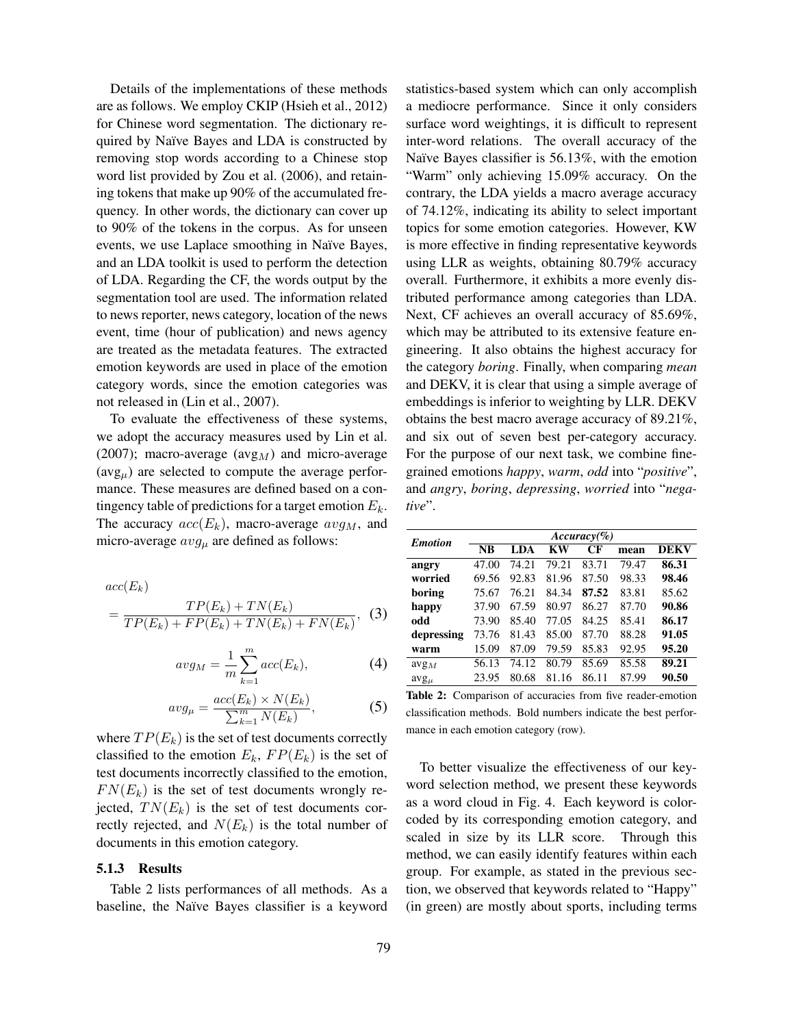Details of the implementations of these methods are as follows. We employ CKIP (Hsieh et al., 2012) for Chinese word segmentation. The dictionary required by Naïve Bayes and LDA is constructed by removing stop words according to a Chinese stop word list provided by Zou et al. (2006), and retaining tokens that make up 90% of the accumulated frequency. In other words, the dictionary can cover up to 90% of the tokens in the corpus. As for unseen events, we use Laplace smoothing in Naïve Bayes, and an LDA toolkit is used to perform the detection of LDA. Regarding the CF, the words output by the segmentation tool are used. The information related to news reporter, news category, location of the news event, time (hour of publication) and news agency are treated as the metadata features. The extracted emotion keywords are used in place of the emotion category words, since the emotion categories was not released in (Lin et al., 2007).

To evaluate the effectiveness of these systems, we adopt the accuracy measures used by Lin et al. (2007); macro-average ( $avg<sub>M</sub>$ ) and micro-average  $(\text{avg}_{\mu})$  are selected to compute the average performance. These measures are defined based on a contingency table of predictions for a target emotion  $E_k$ . The accuracy  $acc(E_k)$ , macro-average  $avg<sub>M</sub>$ , and micro-average  $avg_{\mu}$  are defined as follows:

$$
acc(E_k)
$$
  
= 
$$
\frac{TP(E_k) + TN(E_k)}{TP(E_k) + FP(E_k) + TN(E_k) + FN(E_k)},
$$
 (3)

$$
avg_M = \frac{1}{m} \sum_{k=1}^{m} acc(E_k),
$$
 (4)

$$
avg_{\mu} = \frac{acc(E_k) \times N(E_k)}{\sum_{k=1}^{m} N(E_k)},
$$
\n(5)

where  $TP(E_k)$  is the set of test documents correctly classified to the emotion  $E_k$ ,  $FP(E_k)$  is the set of test documents incorrectly classified to the emotion,  $FN(E_k)$  is the set of test documents wrongly rejected,  $TN(E_k)$  is the set of test documents correctly rejected, and  $N(E_k)$  is the total number of documents in this emotion category.

#### 5.1.3 Results

Table 2 lists performances of all methods. As a baseline, the Naïve Bayes classifier is a keyword statistics-based system which can only accomplish a mediocre performance. Since it only considers surface word weightings, it is difficult to represent inter-word relations. The overall accuracy of the Naïve Bayes classifier is 56.13%, with the emotion "Warm" only achieving 15.09% accuracy. On the contrary, the LDA yields a macro average accuracy of 74.12%, indicating its ability to select important topics for some emotion categories. However, KW is more effective in finding representative keywords using LLR as weights, obtaining 80.79% accuracy overall. Furthermore, it exhibits a more evenly distributed performance among categories than LDA. Next, CF achieves an overall accuracy of 85.69%, which may be attributed to its extensive feature engineering. It also obtains the highest accuracy for the category *boring*. Finally, when comparing *mean* and DEKV, it is clear that using a simple average of embeddings is inferior to weighting by LLR. DEKV obtains the best macro average accuracy of 89.21%, and six out of seven best per-category accuracy. For the purpose of our next task, we combine finegrained emotions *happy*, *warm*, *odd* into "*positive*", and *angry*, *boring*, *depressing*, *worried* into "*negative*".

| <b>Emotion</b>   | $Accuracy(\% )$ |       |       |       |       |             |  |
|------------------|-----------------|-------|-------|-------|-------|-------------|--|
|                  | NB              | LDA   | КW    | CF    | mean  | <b>DEKV</b> |  |
| angry            | 47.00           | 74.21 | 79.21 | 83.71 | 79.47 | 86.31       |  |
| worried          | 69.56           | 92.83 | 81.96 | 87.50 | 98.33 | 98.46       |  |
| boring           | 75.67           | 76.21 | 84.34 | 87.52 | 83.81 | 85.62       |  |
| happy            | 37.90           | 67.59 | 80.97 | 86.27 | 87.70 | 90.86       |  |
| odd              | 73.90           | 85.40 | 77.05 | 84.25 | 85.41 | 86.17       |  |
| depressing       | 73.76           | 81.43 | 85.00 | 87.70 | 88.28 | 91.05       |  |
| warm             | 15.09           | 87.09 | 79.59 | 85.83 | 92.95 | 95.20       |  |
| avg <sub>M</sub> | 56.13           | 74.12 | 80.79 | 85.69 | 85.58 | 89.21       |  |
| $avg_{\mu}$      | 23.95           | 80.68 | 81.16 | 86.11 | 87.99 | 90.50       |  |

Table 2: Comparison of accuracies from five reader-emotion classification methods. Bold numbers indicate the best performance in each emotion category (row).

To better visualize the effectiveness of our keyword selection method, we present these keywords as a word cloud in Fig. 4. Each keyword is colorcoded by its corresponding emotion category, and scaled in size by its LLR score. Through this method, we can easily identify features within each group. For example, as stated in the previous section, we observed that keywords related to "Happy" (in green) are mostly about sports, including terms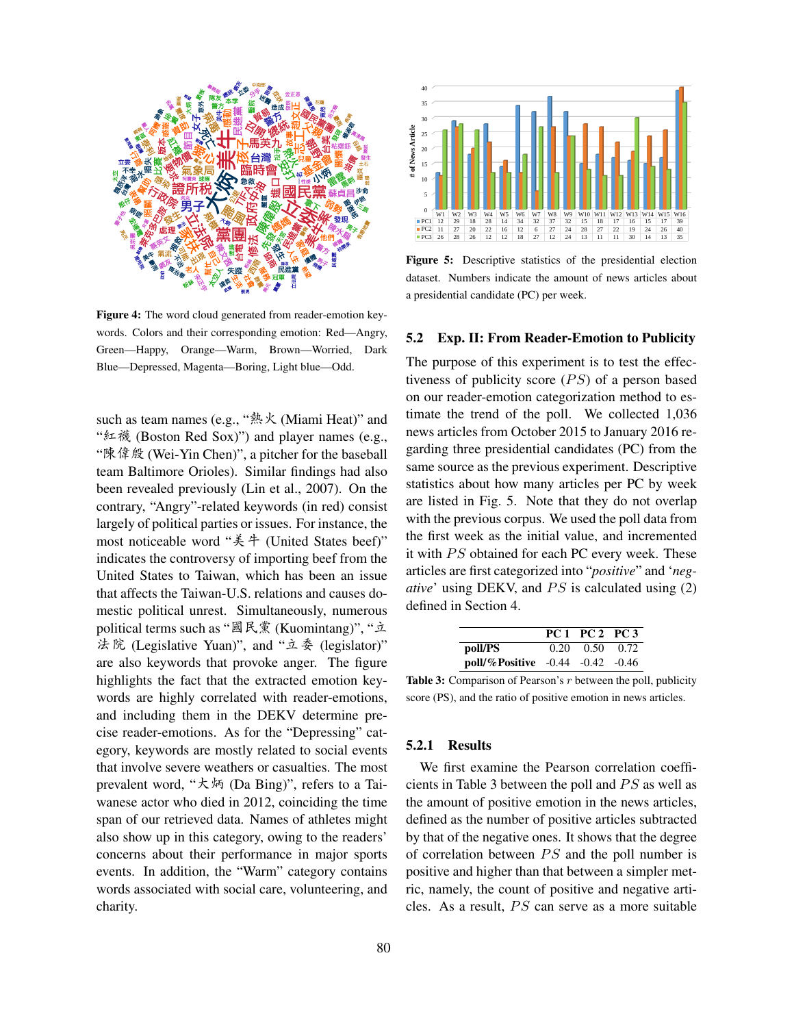

Figure 4: The word cloud generated from reader-emotion keywords. Colors and their corresponding emotion: Red—Angry, Green—Happy, Orange—Warm, Brown—Worried, Dark Blue—Depressed, Magenta—Boring, Light blue—Odd.

such as team names (e.g., "熱火 (Miami Heat)" and "紅襪 (Boston Red Sox)") and player names (e.g., "陳偉殷 (Wei-Yin Chen)", a pitcher for the baseball team Baltimore Orioles). Similar findings had also been revealed previously (Lin et al., 2007). On the contrary, "Angry"-related keywords (in red) consist largely of political parties or issues. For instance, the most noticeable word "美牛 (United States beef)" indicates the controversy of importing beef from the United States to Taiwan, which has been an issue that affects the Taiwan-U.S. relations and causes domestic political unrest. Simultaneously, numerous political terms such as "國民黨 (Kuomintang)", "立 法院 (Legislative Yuan)", and "立委 (legislator)" are also keywords that provoke anger. The figure highlights the fact that the extracted emotion keywords are highly correlated with reader-emotions, and including them in the DEKV determine precise reader-emotions. As for the "Depressing" category, keywords are mostly related to social events that involve severe weathers or casualties. The most prevalent word, "大炳 (Da Bing)", refers to a Taiwanese actor who died in 2012, coinciding the time span of our retrieved data. Names of athletes might also show up in this category, owing to the readers' concerns about their performance in major sports events. In addition, the "Warm" category contains words associated with social care, volunteering, and charity.





Figure 5: Descriptive statistics of the presidential election dataset. Numbers indicate the amount of news articles about a presidential candidate (PC) per week.

#### 5.2 Exp. II: From Reader-Emotion to Publicity

The purpose of this experiment is to test the effectiveness of publicity score  $(PS)$  of a person based on our reader-emotion categorization method to estimate the trend of the poll. We collected 1,036 news articles from October 2015 to January 2016 regarding three presidential candidates (PC) from the same source as the previous experiment. Descriptive statistics about how many articles per PC by week are listed in Fig. 5. Note that they do not overlap with the previous corpus. We used the poll data from the first week as the initial value, and incremented it with  $PS$  obtained for each PC every week. These articles are first categorized into "*positive*" and '*negative*' using DEKV, and *PS* is calculated using (2) defined in Section 4.

|                                         | <b>PC 1 PC 2 PC 3</b> |      |
|-----------------------------------------|-----------------------|------|
| poll/PS                                 | $0.20 \quad 0.50$     | 0.72 |
| poll/% Positive $-0.44$ $-0.42$ $-0.46$ |                       |      |

Table 3: Comparison of Pearson's r between the poll, publicity score (PS), and the ratio of positive emotion in news articles.

#### 5.2.1 Results

We first examine the Pearson correlation coefficients in Table 3 between the poll and  $PS$  as well as the amount of positive emotion in the news articles, defined as the number of positive articles subtracted by that of the negative ones. It shows that the degree of correlation between  $PS$  and the poll number is positive and higher than that between a simpler metric, namely, the count of positive and negative articles. As a result,  $PS$  can serve as a more suitable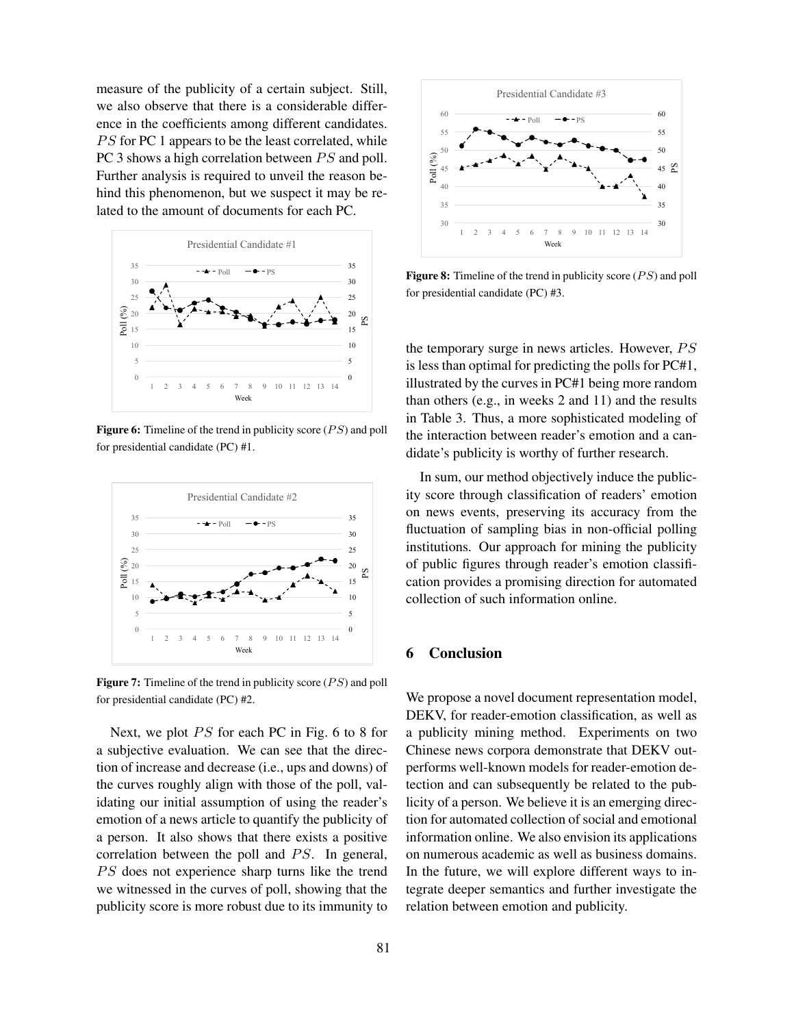measure of the publicity of a certain subject. Still, we also observe that there is a considerable difference in the coefficients among different candidates.  $PS$  for PC 1 appears to be the least correlated, while PC 3 shows a high correlation between  $PS$  and poll. Further analysis is required to unveil the reason behind this phenomenon, but we suspect it may be related to the amount of documents for each PC.



for presidential candidate  $(PC)$  #1. Figure 6: Timeline of the trend in publicity score  $(PS)$  and poll



**Figure 7:** Timeline of the trend in publicity score  $(PS)$  and poll for presidential candidate  $(PC)$  #2. for presidential candidate (PC) #2.

Next, we plot  $PS$  for each PC in Fig. 6 to 8 for a subjective evaluation. We can see that the direc-<br>tion of increase and decrease (i.e., ups and downs) of idating our initial assumption of using the reader's the curves roughly align with those of the poll, valtion of increase and decrease (i.e., ups and downs) of emotion of a news article to quantify the publicity of a person. It also shows that there exists a positive correlation between the poll and  $PS$ . In general,  $PS$  does not experience sharp turns like the trend we witnessed in the curves of poll, showing that the publicity score is more robust due to its immunity to



Figure 8: Timeline of the trend in publicity score  $(PS)$  and poll for presidential candidate (PC) #3.

the temporary surge in news articles. However,  $PS$ is less than optimal for predicting the polls for PC#1, illustrated by the curves in PC#1 being more random than others (e.g., in weeks 2 and 11) and the results in Table 3. Thus, a more sophisticated modeling of the interaction between reader's emotion and a candidate's publicity is worthy of further research.

In sum, our method objectively induce the publicity score through classification of readers' emotion on news events, preserving its accuracy from the fluctuation of sampling bias in non-official polling institutions. Our approach for mining the publicity of public figures through reader's emotion classification provides a promising direction for automated collection of such information online.

# 6 Conclusion

We propose a novel document representation model, DEKV, for reader-emotion classification, as well as a publicity mining method. Experiments on two Chinese news corpora demonstrate that DEKV outperforms well-known models for reader-emotion detection and can subsequently be related to the publicity of a person. We believe it is an emerging direction for automated collection of social and emotional information online. We also envision its applications on numerous academic as well as business domains. In the future, we will explore different ways to integrate deeper semantics and further investigate the relation between emotion and publicity.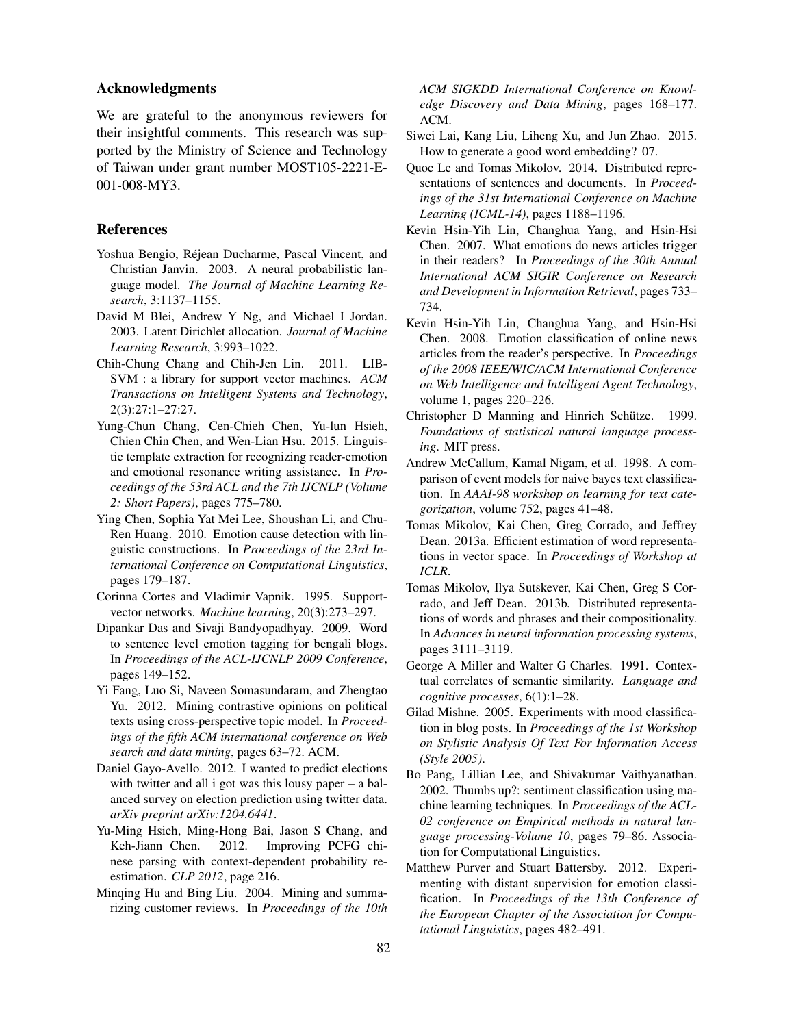## Acknowledgments

We are grateful to the anonymous reviewers for their insightful comments. This research was supported by the Ministry of Science and Technology of Taiwan under grant number MOST105-2221-E-001-008-MY3.

#### References

- Yoshua Bengio, Rejean Ducharme, Pascal Vincent, and ´ Christian Janvin. 2003. A neural probabilistic language model. *The Journal of Machine Learning Research*, 3:1137–1155.
- David M Blei, Andrew Y Ng, and Michael I Jordan. 2003. Latent Dirichlet allocation. *Journal of Machine Learning Research*, 3:993–1022.
- Chih-Chung Chang and Chih-Jen Lin. 2011. LIB-SVM : a library for support vector machines. *ACM Transactions on Intelligent Systems and Technology*, 2(3):27:1–27:27.
- Yung-Chun Chang, Cen-Chieh Chen, Yu-lun Hsieh, Chien Chin Chen, and Wen-Lian Hsu. 2015. Linguistic template extraction for recognizing reader-emotion and emotional resonance writing assistance. In *Proceedings of the 53rd ACL and the 7th IJCNLP (Volume 2: Short Papers)*, pages 775–780.
- Ying Chen, Sophia Yat Mei Lee, Shoushan Li, and Chu-Ren Huang. 2010. Emotion cause detection with linguistic constructions. In *Proceedings of the 23rd International Conference on Computational Linguistics*, pages 179–187.
- Corinna Cortes and Vladimir Vapnik. 1995. Supportvector networks. *Machine learning*, 20(3):273–297.
- Dipankar Das and Sivaji Bandyopadhyay. 2009. Word to sentence level emotion tagging for bengali blogs. In *Proceedings of the ACL-IJCNLP 2009 Conference*, pages 149–152.
- Yi Fang, Luo Si, Naveen Somasundaram, and Zhengtao Yu. 2012. Mining contrastive opinions on political texts using cross-perspective topic model. In *Proceedings of the fifth ACM international conference on Web search and data mining*, pages 63–72. ACM.
- Daniel Gayo-Avello. 2012. I wanted to predict elections with twitter and all i got was this lousy paper – a balanced survey on election prediction using twitter data. *arXiv preprint arXiv:1204.6441*.
- Yu-Ming Hsieh, Ming-Hong Bai, Jason S Chang, and Keh-Jiann Chen. 2012. Improving PCFG chinese parsing with context-dependent probability reestimation. *CLP 2012*, page 216.
- Minqing Hu and Bing Liu. 2004. Mining and summarizing customer reviews. In *Proceedings of the 10th*

*ACM SIGKDD International Conference on Knowledge Discovery and Data Mining*, pages 168–177. ACM.

- Siwei Lai, Kang Liu, Liheng Xu, and Jun Zhao. 2015. How to generate a good word embedding? 07.
- Quoc Le and Tomas Mikolov. 2014. Distributed representations of sentences and documents. In *Proceedings of the 31st International Conference on Machine Learning (ICML-14)*, pages 1188–1196.
- Kevin Hsin-Yih Lin, Changhua Yang, and Hsin-Hsi Chen. 2007. What emotions do news articles trigger in their readers? In *Proceedings of the 30th Annual International ACM SIGIR Conference on Research and Development in Information Retrieval*, pages 733– 734.
- Kevin Hsin-Yih Lin, Changhua Yang, and Hsin-Hsi Chen. 2008. Emotion classification of online news articles from the reader's perspective. In *Proceedings of the 2008 IEEE/WIC/ACM International Conference on Web Intelligence and Intelligent Agent Technology*, volume 1, pages 220–226.
- Christopher D Manning and Hinrich Schütze. 1999. *Foundations of statistical natural language processing*. MIT press.
- Andrew McCallum, Kamal Nigam, et al. 1998. A comparison of event models for naive bayes text classification. In *AAAI-98 workshop on learning for text categorization*, volume 752, pages 41–48.
- Tomas Mikolov, Kai Chen, Greg Corrado, and Jeffrey Dean. 2013a. Efficient estimation of word representations in vector space. In *Proceedings of Workshop at ICLR*.
- Tomas Mikolov, Ilya Sutskever, Kai Chen, Greg S Corrado, and Jeff Dean. 2013b. Distributed representations of words and phrases and their compositionality. In *Advances in neural information processing systems*, pages 3111–3119.
- George A Miller and Walter G Charles. 1991. Contextual correlates of semantic similarity. *Language and cognitive processes*, 6(1):1–28.
- Gilad Mishne. 2005. Experiments with mood classification in blog posts. In *Proceedings of the 1st Workshop on Stylistic Analysis Of Text For Information Access (Style 2005)*.
- Bo Pang, Lillian Lee, and Shivakumar Vaithyanathan. 2002. Thumbs up?: sentiment classification using machine learning techniques. In *Proceedings of the ACL-02 conference on Empirical methods in natural language processing-Volume 10*, pages 79–86. Association for Computational Linguistics.
- Matthew Purver and Stuart Battersby. 2012. Experimenting with distant supervision for emotion classification. In *Proceedings of the 13th Conference of the European Chapter of the Association for Computational Linguistics*, pages 482–491.